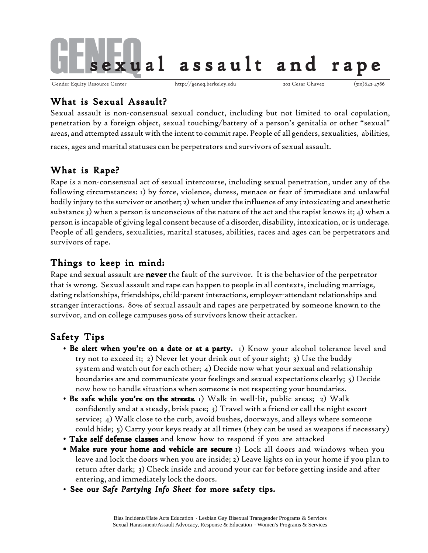

Gender Equity Resource Center http://geneq.berkeley.edu 202 Cesar Chavez (510)642-4786

# What is Sexual Assault?

Sexual assault is non-consensual sexual conduct, including but not limited to oral copulation, penetration by a foreign object, sexual touching/battery of a person's genitalia or other "sexual" areas, and attempted assault with the intent to commit rape. People of all genders, sexualities, abilities,

races, ages and marital statuses can be perpetrators and survivors of sexual assault.

# What is Rape?

Rape is a non-consensual act of sexual intercourse, including sexual penetration, under any of the following circumstances: 1) by force, violence, duress, menace or fear of immediate and unlawful bodily injury to the survivor or another; 2) when under the influence of any intoxicating and anesthetic substance 3) when a person is unconscious of the nature of the act and the rapist knows it; 4) when a person is incapable of giving legal consent because of a disorder, disability, intoxication, or is underage. People of all genders, sexualities, marital statuses, abilities, races and ages can be perpetrators and survivors of rape.

# Things to keep in mind:

Rape and sexual assault are **never** the fault of the survivor. It is the behavior of the perpetrator that is wrong. Sexual assault and rape can happen to people in all contexts, including marriage, dating relationships, friendships, child-parent interactions, employer-attendant relationships and stranger interactions. 80% of sexual assault and rapes are perpetrated by someone known to the survivor, and on college campuses 90% of survivors know their attacker.

# Safety Tips

- Be alert when you're on a date or at a party. 1) Know your alcohol tolerance level and try not to exceed it; 2) Never let your drink out of your sight; 3) Use the buddy system and watch out for each other; 4) Decide now what your sexual and relationship boundaries are and communicate your feelings and sexual expectations clearly; 5) Decide now how to handle situations when someone is not respecting your boundaries.
- Be safe while you're on the streets. 1) Walk in well-lit, public areas; 2) Walk confidently and at a steady, brisk pace; 3) Travel with a friend or call the night escort service; 4) Walk close to the curb, avoid bushes, doorways, and alleys where someone could hide; 5) Carry your keys ready at all times (they can be used as weapons if necessary)
- Take self defense classes and know how to respond if you are attacked
- Make sure your home and vehicle are secure 1) Lock all doors and windows when you leave and lock the doors when you are inside; 2) Leave lights on in your home if you plan to return after dark; 3) Check inside and around your car for before getting inside and after entering, and immediately lock the doors.
- See our Safe Partying Info Sheet for more safety tips.